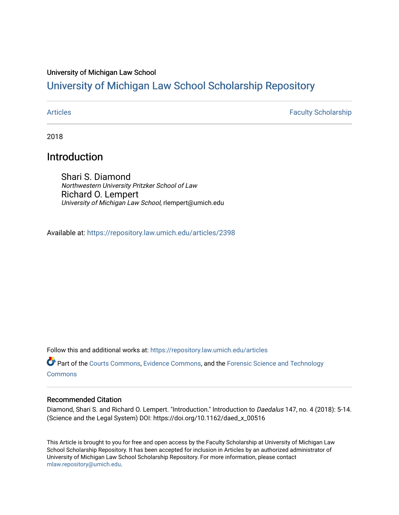### University of Michigan Law School

# [University of Michigan Law School Scholarship Repository](https://repository.law.umich.edu/)

[Articles](https://repository.law.umich.edu/articles) **Faculty Scholarship** Faculty Scholarship

2018

# Introduction

Shari S. Diamond Northwestern University Pritzker School of Law Richard O. Lempert University of Michigan Law School, rlempert@umich.edu

Available at: <https://repository.law.umich.edu/articles/2398>

Follow this and additional works at: [https://repository.law.umich.edu/articles](https://repository.law.umich.edu/articles?utm_source=repository.law.umich.edu%2Farticles%2F2398&utm_medium=PDF&utm_campaign=PDFCoverPages) 

Part of the [Courts Commons,](http://network.bepress.com/hgg/discipline/839?utm_source=repository.law.umich.edu%2Farticles%2F2398&utm_medium=PDF&utm_campaign=PDFCoverPages) [Evidence Commons](http://network.bepress.com/hgg/discipline/601?utm_source=repository.law.umich.edu%2Farticles%2F2398&utm_medium=PDF&utm_campaign=PDFCoverPages), and the [Forensic Science and Technology](http://network.bepress.com/hgg/discipline/1277?utm_source=repository.law.umich.edu%2Farticles%2F2398&utm_medium=PDF&utm_campaign=PDFCoverPages)  [Commons](http://network.bepress.com/hgg/discipline/1277?utm_source=repository.law.umich.edu%2Farticles%2F2398&utm_medium=PDF&utm_campaign=PDFCoverPages)

### Recommended Citation

Diamond, Shari S. and Richard O. Lempert. "Introduction." Introduction to Daedalus 147, no. 4 (2018): 5-14. (Science and the Legal System) DOI: https://doi.org/10.1162/daed\_x\_00516

This Article is brought to you for free and open access by the Faculty Scholarship at University of Michigan Law School Scholarship Repository. It has been accepted for inclusion in Articles by an authorized administrator of University of Michigan Law School Scholarship Repository. For more information, please contact [mlaw.repository@umich.edu.](mailto:mlaw.repository@umich.edu)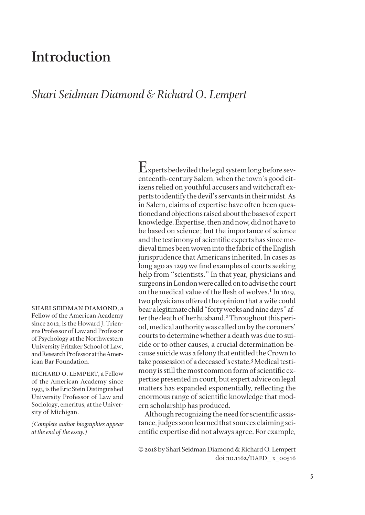# **Introduction**

## *Shari Seidman Diamond & Richard O. Lempert*

shari seidman diamond, a Fellow of the American Academy since 2012, is the Howard J. Trienens Professor of Law and Professor of Psychology at the Northwestern University Pritzker School of Law, and Research Professor at the American Bar Foundation.

richardo. lempert, a Fellow of the American Academy since 1993, is the Eric Stein Distinguished University Professor of Law and Sociology, emeritus, at the University of Michigan.

*(Complete author biographies appear at the end of the essay.)*

 $\dot{\mathrm{E}}$ xperts bedeviled the legal system long before seventeenth-century Salem, when the town's good citizens relied on youthful accusers and witchcraft experts to identify the devil's servants in their midst. As in Salem, claims of expertise have often been questioned and objections raised about the bases of expert knowledge. Expertise, then and now, did not have to be based on science; but the importance of science and the testimony of scientific experts has since medieval times been woven into the fabric of the English jurisprudence that Americans inherited. In cases as long ago as 1299 we find examples of courts seeking help from "scientists." In that year, physicians and surgeons in London were called on to advise the court on the medical value of the flesh of wolves.<sup>1</sup> In 1619, two physicians offered the opinion that a wife could bear a legitimate child "forty weeks and nine days" after the death of her husband.<sup>2</sup> Throughout this period, medical authority was called on by the coroners' courts to determine whether a death was due to suicide or to other causes, a crucial determination because suicide was a felony that entitled the Crown to take possession of a deceased's estate.3 Medical testimony is still the most common form of scientific expertise presented in court, but expert advice on legal matters has expanded exponentially, reflecting the enormous range of scientific knowledge that modern scholarship has produced.

Although recognizing the need for scientific assistance, judges soon learned that sources claiming scientific expertise did not always agree. For example,

© 2018 by Shari Seidman Diamond & Richard O. Lempert doi:10.1162/DAED\_ x\_00516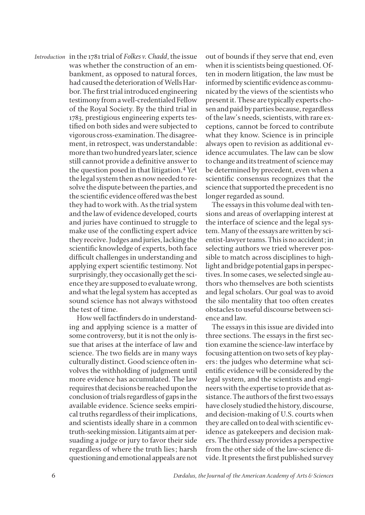### *Introduction* in the 1781 trial of *Folkes v. Chadd*, the issue was whether the construction of an embankment, as opposed to natural forces, had caused the deterioration of Wells Harbor. The first trial introduced engineering testimony from a well-credentialed Fellow of the Royal Society. By the third trial in 1783, prestigious engineering experts testified on both sides and were subjected to vigorous cross-examination. The disagreement, in retrospect, was understandable: more than two hundred years later, science still cannot provide a definitive answer to the question posed in that litigation.4 Yet the legal system then as now needed to resolve the dispute between the parties, and the scientific evidence offered was the best they had to work with. As the trial system and the law of evidence developed, courts and juries have continued to struggle to make use of the conflicting expert advice they receive.Judges and juries, lacking the scientific knowledge of experts, both face difficult challenges in understanding and applying expert scientific testimony. Not surprisingly, they occasionally get the science they are supposed to evaluate wrong, and what the legal system has accepted as sound science has not always withstood the test of time.

 How well factfinders do in understanding and applying science is a matter of some controversy, but it is not the only issue that arises at the interface of law and science. The two fields are in many ways culturally distinct. Good science often involves the withholding of judgment until more evidence has accumulated. The law requires that decisions be reached upon the conclusion of trials regardless of gaps in the available evidence. Science seeks empirical truths regardless of their implications, and scientists ideally share in a common truth-seeking mission. Litigants aim at persuading a judge or jury to favor their side regardless of where the truth lies; harsh questioning and emotional appeals are not

out of bounds if they serve that end, even when it is scientists being questioned. Often in modern litigation, the law must be informed by scientific evidence as communicated by the views of the scientists who present it. These are typically experts chosen and paid by parties because, regardless of the law's needs, scientists, with rare exceptions, cannot be forced to contribute what they know. Science is in principle always open to revision as additional evidence accumulates. The law can be slow to change and its treatment of science may be determined by precedent, even when a scientific consensus recognizes that the science that supported the precedent is no longer regarded as sound.

The essays in this volume deal with tensions and areas of overlapping interest at the interface of science and the legal system. Many of the essays are written by scientist-lawyer teams. This is no accident; in selecting authors we tried wherever possible to match across disciplines to highlight and bridge potential gaps in perspectives. In some cases, we selected single authors who themselves are both scientists and legal scholars. Our goal was to avoid the silo mentality that too often creates obstacles to useful discourse between science and law.

The essays in this issue are divided into three sections. The essays in the first section examine the science-law interface by focusing attention on two sets of key players: the judges who determine what scientific evidence will be considered by the legal system, and the scientists and engineers with the expertise to provide that assistance. The authors of the first two essays have closely studied the history, discourse, and decision-making of U.S. courts when they are called on to deal with scientific evidence as gatekeepers and decision makers. The third essay provides a perspective from the other side of the law-science divide. It presents the first published survey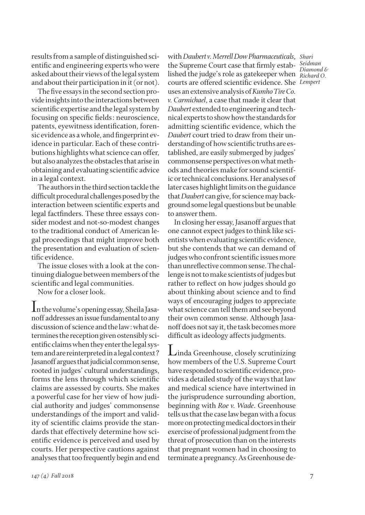results from a sample of distinguished scientific and engineering experts who were asked about their views of the legal system and about their participation in it (or not).

The five essays in the second section provide insights into the interactions between scientific expertise and the legal system by focusing on specific fields: neuroscience, patents, eyewitness identification, forensic evidence as a whole, and fingerprint evidence in particular. Each of these contributions highlights what science can offer, but also analyzes the obstacles that arise in obtaining and evaluating scientific advice in a legal context.

The authors in the third section tackle the difficult procedural challenges posed by the interaction between scientific experts and legal factfinders. These three essays consider modest and not-so-modest changes to the traditional conduct of American legal proceedings that might improve both the presentation and evaluation of scientific evidence.

The issue closes with a look at the continuing dialogue between members of the scientific and legal communities.

Now for a closer look.

In the volume's opening essay, Sheila Jasanoff addresses an issue fundamental to any discussion of science and the law: what determines the reception given ostensibly scientific claims when they enter the legal system and are reinterpreted in a legal context? Jasanoff argues that judicial common sense, rooted in judges' cultural understandings, forms the lens through which scientific claims are assessed by courts. She makes a powerful case for her view of how judicial authority and judges' commonsense understandings of the import and validity of scientific claims provide the standards that effectively determine how scientific evidence is perceived and used by courts. Her perspective cautions against analyses that too frequently begin and end

*Shari*  with *Daubert v. Merrell Dow Pharmaceuticals*, *Seidman*  the Supreme Court case that firmly established the judge's role as gatekeeper when *Richard O. Lempert* courts are offered scientific evidence. She uses an extensive analysis of *Kumho Tire Co. v. Carmichael*, a case that made it clear that *Daubert* extended to engineering and technical experts to show how the standards for admitting scientific evidence, which the *Daubert* court tried to draw from their understanding of how scientific truths are established, are easily submerged by judges' commonsense perspectives on what methods and theories make for sound scientific or technical conclusions. Her analyses of later cases highlight limits on the guidance that *Daubert* can give, for science may background some legal questions but be unable to answer them.

In closing her essay, Jasanoff argues that one cannot expect judges to think like scientists when evaluating scientific evidence, but she contends that we can demand of judges who confront scientific issues more than unreflective common sense. The challenge is not to make scientists of judges but rather to reflect on how judges should go about thinking about science and to find ways of encouraging judges to appreciate what science can tell them and see beyond their own common sense. Although Jasanoff does not say it, the task becomes more difficult as ideology affects judgments.

Linda Greenhouse, closely scrutinizing how members of the U.S. Supreme Court have responded to scientific evidence, provides a detailed study of the ways that law and medical science have intertwined in the jurisprudence surrounding abortion, beginning with *Roe v. Wade*. Greenhouse tells us that the case law began with a focus more on protecting medical doctors in their exercise of professional judgment from the threat of prosecution than on the interests that pregnant women had in choosing to terminate a pregnancy. As Greenhouse de-

*Diamond &*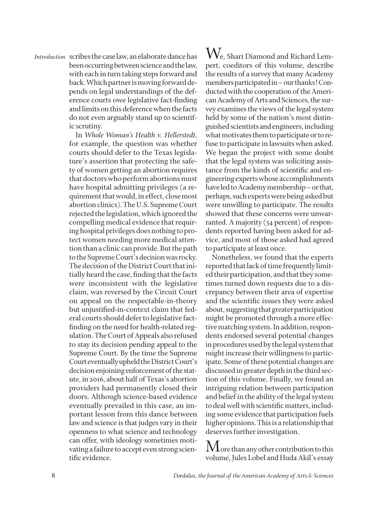*Introduction* scribes the case law, an elaborate dance has been occurring between science and the law, with each in turn taking steps forward and back. Which partner is moving forward depends on legal understandings of the deference courts owe legislative fact-finding and limits on this deference when the facts do not even arguably stand up to scientific scrutiny.

> In *Whole Woman's Health v. Hellerstedt*, for example, the question was whether courts should defer to the Texas legislature's assertion that protecting the safety of women getting an abortion requires that doctors who perform abortions must have hospital admitting privileges (a requirement that would, in effect, close most abortion clinics). The U.S. Supreme Court rejected the legislation, which ignored the compelling medical evidence that requiring hospital privileges does nothing to protect women needing more medical attention than a clinic can provide. But the path to the Supreme Court's decision was rocky. The decision of the District Court that initially heard the case, finding that the facts were inconsistent with the legislative claim, was reversed by the Circuit Court on appeal on the respectable-in-theory but unjustified-in-context claim that federal courts should defer to legislative factfinding on the need for health-related regulation. The Court of Appeals also refused to stay its decision pending appeal to the Supreme Court. By the time the Supreme Court eventually upheld the District Court's decision enjoining enforcement of the statute, in 2016, about half of Texas's abortion providers had permanently closed their doors. Although science-based evidence eventually prevailed in this case, an important lesson from this dance between law and science is that judges vary in their openness to what science and technology can offer, with ideology sometimes motivating a failure to accept even strong scientific evidence.

 $\text{W}_{\text{\rm e}}$ , Shari Diamond and Richard Lempert, coeditors of this volume, describe the results of a survey that many Academy members participated in–our thanks! Conducted with the cooperation of the American Academy of Arts and Sciences, the survey examines the views of the legal system held by some of the nation's most distinguished scientists and engineers, including what motivates them to participate or to refuse to participate in lawsuits when asked. We began the project with some doubt that the legal system was soliciting assistance from the kinds of scientific and engineering experts whose accomplishments have led to Academy membership–or that, perhaps, such experts were being asked but were unwilling to participate. The results showed that these concerns were unwarranted. A majority (54 percent) of respondents reported having been asked for advice, and most of those asked had agreed to participate at least once.

Nonetheless, we found that the experts reported that lack of time frequently limited their participation, and that they sometimes turned down requests due to a discrepancy between their area of expertise and the scientific issues they were asked about, suggesting that greater participation might be promoted through a more effective matching system. In addition, respondents endorsed several potential changes in procedures used by the legal system that might increase their willingness to participate. Some of these potential changes are discussed in greater depth in the third section of this volume. Finally, we found an intriguing relation between participation and belief in the ability of the legal system to deal well with scientific matters, including some evidence that participation fuels higher opinions. This is a relationship that deserves further investigation.

 $\rm\,M$  ore than any other contribution to this volume, Jules Lobel and Huda Akil's essay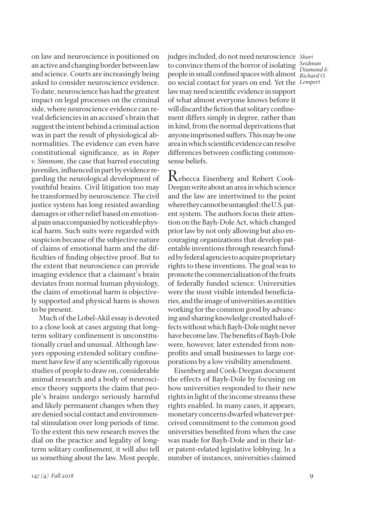on law and neuroscience is positioned on an active and changing border between law and science. Courts are increasingly being asked to consider neuroscience evidence. To date, neuroscience has had the greatest impact on legal processes on the criminal side, where neuroscience evidence can reveal deficiencies in an accused's brain that suggest the intent behind a criminal action was in part the result of physiological abnormalities. The evidence can even have constitutional significance, as in *Roper v. Simmons*, the case that barred executing juveniles, influenced in part by evidence regarding the neurological development of youthful brains. Civil litigation too may be transformed by neuroscience. The civil justice system has long resisted awarding damages or other relief based on emotional pain unaccompanied by noticeable physical harm. Such suits were regarded with suspicion because of the subjective nature of claims of emotional harm and the difficulties of finding objective proof. But to the extent that neuroscience can provide imaging evidence that a claimant's brain deviates from normal human physiology, the claim of emotional harm is objectively supported and physical harm is shown to be present.

 Much of the Lobel-Akil essay is devoted to a close look at cases arguing that longterm solitary confinement is unconstitutionally cruel and unusual. Although lawyers opposing extended solitary confinement have few if any scientifically rigorous studies of people to draw on, considerable animal research and a body of neuroscience theory supports the claim that people's brains undergo seriously harmful and likely permanent changes when they are denied social contact and environmental stimulation over long periods of time. To the extent this new research moves the dial on the practice and legality of longterm solitary confinement, it will also tell us something about the law. Most people,

judges included, do not need neuroscience Shari to convince them of the horror of isolating *Seidman*<br>*Diamond &* people in small confined spaces with almost *Richard O. Lempert* no social contact for years on end. Yet the law may need scientific evidence in support of what almost everyone knows before it will discard the fiction that solitary confinement differs simply in degree, rather than in kind, from the normal deprivations that anyone imprisoned suffers. This may be one area in which scientific evidence can resolve differences between conflicting commonsense beliefs.

Rebecca Eisenberg and Robert Cook-Deegan write about an area in which science and the law are intertwined to the point where they cannot be untangled: the U.S. patent system. The authors focus their attention on the Bayh-Dole Act, which changed prior law by not only allowing but also encouraging organizations that develop patentable inventions through research funded by federal agencies to acquire proprietary rights to these inventions. The goal was to promote the commercialization of the fruits of federally funded science. Universities were the most visible intended beneficiaries, and the image of universities as entities working for the common good by advancing and sharing knowledge created halo effects without which Bayh-Dole might never have become law. The benefits of Bayh-Dole were, however, later extended from nonprofits and small businesses to large corporations by a low visibility amendment.

Eisenberg and Cook-Deegan document the effects of Bayh-Dole by focusing on how universities responded to their new rights in light of the income streams these rights enabled. In many cases, it appears, monetary concerns dwarfed whatever perceived commitment to the common good universities benefited from when the case was made for Bayh-Dole and in their later patent-related legislative lobbying. In a number of instances, universities claimed

*Seidman*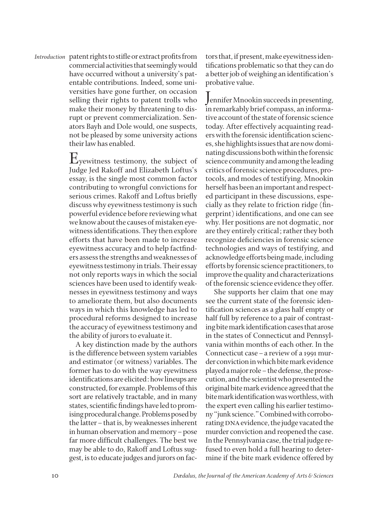*Introduction* patent rights to stifle or extract profits from commercial activities that seemingly would have occurred without a university's patentable contributions. Indeed, some universities have gone further, on occasion selling their rights to patent trolls who make their money by threatening to disrupt or prevent commercialization. Senators Bayh and Dole would, one suspects, not be pleased by some university actions their law has enabled.

> Eyewitness testimony, the subject of Judge Jed Rakoff and Elizabeth Loftus's essay, is the single most common factor contributing to wrongful convictions for serious crimes. Rakoff and Loftus briefly discuss why eyewitness testimony is such powerful evidence before reviewing what we know about the causes of mistaken eyewitness identifications. They then explore efforts that have been made to increase eyewitness accuracy and to help factfinders assess the strengths and weaknesses of eyewitness testimony in trials. Their essay not only reports ways in which the social sciences have been used to identify weaknesses in eyewitness testimony and ways to ameliorate them, but also documents ways in which this knowledge has led to procedural reforms designed to increase the accuracy of eyewitness testimony and the ability of jurors to evaluate it.

> A key distinction made by the authors is the difference between system variables and estimator (or witness) variables. The former has to do with the way eyewitness identifications are elicited: how lineups are constructed, for example. Problems of this sort are relatively tractable, and in many states, scientific findings have led to promising procedural change. Problems posed by the latter–that is, by weaknesses inherent in human observation and memory–pose far more difficult challenges. The best we may be able to do, Rakoff and Loftus suggest, is to educate judges and jurors on fac

tors that, if present, make eyewitness identifications problematic so that they can do a better job of weighing an identification's probative value.

Jennifer Mnookin succeeds in presenting, in remarkably brief compass, an informative account of the state of forensic science today. After effectively acquainting readers with the forensic identification sciences, she highlights issues that are now dominating discussions both within the forensic science community and among the leading critics of forensic science procedures, protocols, and modes of testifying. Mnookin herself has been an important and respected participant in these discussions, especially as they relate to friction ridge (fingerprint) identifications, and one can see why. Her positions are not dogmatic, nor are they entirely critical; rather they both recognize deficiencies in forensic science technologies and ways of testifying, and acknowledge efforts being made, including efforts by forensic science practitioners, to improve the quality and characterizations of the forensic science evidence they offer.

 She supports her claim that one may see the current state of the forensic identification sciences as a glass half empty or half full by reference to a pair of contrasting bite mark identification cases that arose in the states of Connecticut and Pennsylvania within months of each other. In the Connecticut case–a review of a 1991 murder conviction in which bite mark evidence played a major role–the defense, the prosecution, and the scientist who presented the original bite mark evidence agreed that the bite mark identification was worthless, with the expert even calling his earlier testimony "junk science." Combined with corroborating DNA evidence, the judge vacated the murder conviction and reopened the case. In the Pennsylvania case, the trial judge refused to even hold a full hearing to determine if the bite mark evidence offered by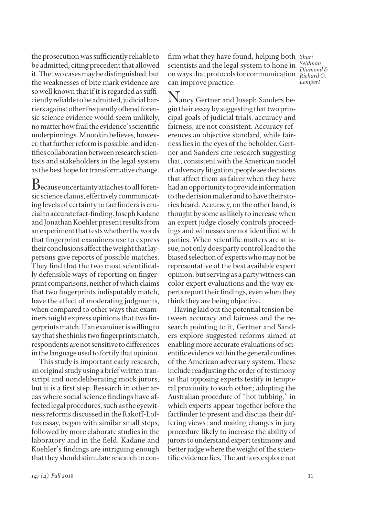the prosecution was sufficiently reliable to be admitted, citing precedent that allowed it. The two cases may be distinguished, but the weaknesses of bite mark evidence are so well known that if it is regarded as sufficiently reliable to be admitted, judicial barriers against other frequently offered forensic science evidence would seem unlikely, no matter how frail the evidence's scientific underpinnings. Mnookin believes, however, that further reform is possible, and identifies collaboration between research scientists and stakeholders in the legal system as the best hope for transformative change.

 $\mathbf B$ ecause uncertainty attaches to all forensic science claims, effectively communicating levels of certainty to factfinders is crucial to accurate fact-finding. Joseph Kadane and Jonathan Koehler present results from an experiment that tests whether the words that fingerprint examiners use to express their conclusions affect the weight that laypersons give reports of possible matches. They find that the two most scientifically defensible ways of reporting on fingerprint comparisons, neither of which claims that two fingerprints indisputably match, have the effect of moderating judgments, when compared to other ways that examiners might express opinions that two fingerprints match. If an examiner is willing to say that she thinks two fingerprints match, respondents are not sensitive to differences in the language used to fortify that opinion.

 This study is important early research, an original study using a brief written transcript and nondeliberating mock jurors, but it is a first step. Research in other areas where social science findings have affected legal procedures, such as the eyewitness reforms discussed in the Rakoff-Loftus essay, began with similar small steps, followed by more elaborate studies in the laboratory and in the field. Kadane and Koehler's findings are intriguing enough that they should stimulate research to con-

firm what they have found, helping both Shari scientists and the legal system to hone in *Seidman Diamond &*  on ways that protocols for communication Richard O. *Lempert* can improve practice.

 $\rm N$ ancy Gertner and Joseph Sanders begin their essay by suggesting that two principal goals of judicial trials, accuracy and fairness, are not consistent. Accuracy references an objective standard, while fairness lies in the eyes of the beholder. Gertner and Sanders cite research suggesting that, consistent with the American model of adversary litigation, people see decisions that affect them as fairer when they have had an opportunity to provide information to the decision maker and to have their stories heard. Accuracy, on the other hand, is thought by some as likely to increase when an expert judge closely controls proceedings and witnesses are not identified with parties. When scientific matters are at issue, not only does party control lead to the biased selection of experts who may not be representative of the best available expert opinion, but serving as a party witness can color expert evaluations and the way experts report their findings, even when they think they are being objective.

Having laid out the potential tension between accuracy and fairness and the research pointing to it, Gertner and Sanders explore suggested reforms aimed at enabling more accurate evaluations of scientific evidence within the general confines of the American adversary system. These include readjusting the order of testimony so that opposing experts testify in temporal proximity to each other; adopting the Australian procedure of "hot tubbing," in which experts appear together before the factfinder to present and discuss their differing views; and making changes in jury procedure likely to increase the ability of jurors to understand expert testimony and better judge where the weight of the scientific evidence lies. The authors explore not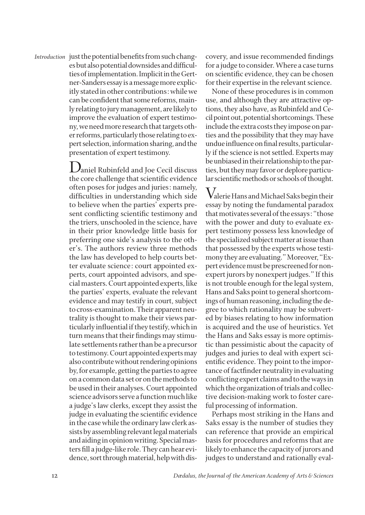*Introduction* just the potential benefits from such changes but also potential downsides and difficulties of implementation. Implicit in the Gertner-Sanders essay is a message more explicitly stated in other contributions: while we can be confident that some reforms, mainly relating to jury management, are likely to improve the evaluation of expert testimony, we need more research that targets other reforms, particularly those relating to expert selection, information sharing, and the presentation of expert testimony.

> Daniel Rubinfeld and Joe Cecil discuss the core challenge that scientific evidence often poses for judges and juries: namely, difficulties in understanding which side to believe when the parties' experts present conflicting scientific testimony and the triers, unschooled in the science, have in their prior knowledge little basis for preferring one side's analysis to the other's. The authors review three methods the law has developed to help courts better evaluate science: court appointed experts, court appointed advisors, and special masters. Court appointed experts, like the parties' experts, evaluate the relevant evidence and may testify in court, subject to cross-examination. Their apparent neutrality is thought to make their views particularly influential if they testify, which in turn means that their findings may stimulate settlements rather than be a precursor to testimony. Court appointed experts may also contribute without rendering opinions by, for example, getting the parties to agree on a common data set or on the methods to be used in their analyses. Court appointed science advisors serve a function much like a judge's law clerks, except they assist the judge in evaluating the scientific evidence in the case while the ordinary law clerk assists by assembling relevant legal materials and aiding in opinion writing. Special masters fill a judge-like role. They can hear evidence, sort through material, help with dis

covery, and issue recommended findings for a judge to consider. Where a case turns on scientific evidence, they can be chosen for their expertise in the relevant science.

None of these procedures is in common use, and although they are attractive options, they also have, as Rubinfeld and Cecil point out, potential shortcomings. These include the extra costs they impose on parties and the possibility that they may have undue influence on final results, particularly if the science is not settled. Experts may be unbiased in their relationship to the parties, but they may favor or deplore particular scientific methods or schools of thought.

 $\rm V$ alerie Hans and Michael Saks begin their essay by noting the fundamental paradox that motivates several of the essays: "those with the power and duty to evaluate expert testimony possess less knowledge of the specialized subject matter at issue than that possessed by the experts whose testimony they are evaluating." Moreover, "Expert evidence must be prescreened for nonexpert jurors by nonexpert judges." If this is not trouble enough for the legal system, Hans and Saks point to general shortcomings of human reasoning, including the degree to which rationality may be subverted by biases relating to how information is acquired and the use of heuristics. Yet the Hans and Saks essay is more optimistic than pessimistic about the capacity of judges and juries to deal with expert scientific evidence. They point to the importance of factfinder neutrality in evaluating conflicting expert claims and to the ways in which the organization of trials and collective decision-making work to foster careful processing of information.

Perhaps most striking in the Hans and Saks essay is the number of studies they can reference that provide an empirical basis for procedures and reforms that are likely to enhance the capacity of jurors and judges to understand and rationally eval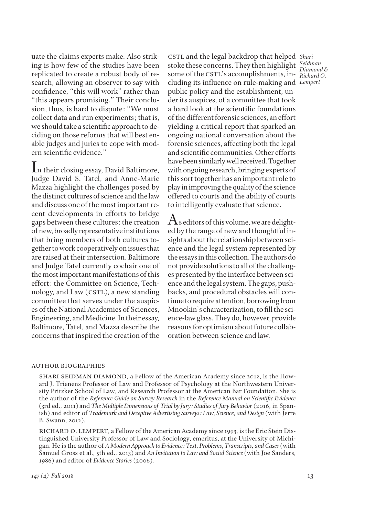uate the claims experts make. Also striking is how few of the studies have been replicated to create a robust body of research, allowing an observer to say with confidence, "this will work" rather than "this appears promising." Their conclusion, thus, is hard to dispute: "We must collect data and run experiments; that is, we should take a scientific approach to deciding on those reforms that will best enable judges and juries to cope with modern scientific evidence."

In their closing essay, David Baltimore, Judge David S. Tatel, and Anne-Marie Mazza highlight the challenges posed by the distinct cultures of science and the law and discuss one of the most important recent developments in efforts to bridge gaps between these cultures: the creation of new, broadly representative institutions that bring members of both cultures together to work cooperatively on issues that are raised at their intersection. Baltimore and Judge Tatel currently cochair one of the most important manifestations of this effort: the Committee on Science, Technology, and Law (CSTL), a new standing committee that serves under the auspices of the National Academies of Sciences, Engineering, and Medicine. In their essay, Baltimore, Tatel, and Mazza describe the concerns that inspired the creation of the

CSTL and the legal backdrop that helped Shari stoke these concerns. They then highlight *Seidman*<br>*Diamond &* some of the CSTL's accomplishments, in-<br>Richard O. *Lempert* cluding its influence on rule-making and public policy and the establishment, under its auspices, of a committee that took a hard look at the scientific foundations of the different forensic sciences, an effort yielding a critical report that sparked an ongoing national conversation about the forensic sciences, affecting both the legal and scientific communities. Other efforts have been similarly well received. Together with ongoing research, bringing experts of this sort together has an important role to play in improving the quality of the science offered to courts and the ability of courts to intelligently evaluate that science.

 $\Lambda$ s editors of this volume, we are delighted by the range of new and thoughtful insights about the relationship between science and the legal system represented by the essays in this collection. The authors do not provide solutions to all of the challenges presented by the interface between science and the legal system. The gaps, pushbacks, and procedural obstacles will continue to require attention, borrowing from Mnookin's characterization, to fill the science-law glass. They do, however, provide reasons for optimism about future collaboration between science and law.

### author biographies

SHARI SEIDMAN DIAMOND, a Fellow of the American Academy since 2012, is the Howard J. Trienens Professor of Law and Professor of Psychology at the Northwestern University Pritzker School of Law, and Research Professor at the American Bar Foundation. She is the author of the *Reference Guide on Survey Research* in the *[Reference Manual on Scientific Evidence](http://www.law.northwestern.edu/faculty/fulltime/diamond/papers/ReferenceGuideSurveyResearch.pdf)* [\(3rd ed., 2011\)](http://www.law.northwestern.edu/faculty/fulltime/diamond/papers/ReferenceGuideSurveyResearch.pdf) [a](http://www.law.northwestern.edu/faculty/fulltime/diamond/papers/ReferenceGuideSurveyResearch.pdf)nd *The Multiple Dimensions of Trial by Jury: Studies of Jury Behavior* (2016, in Spanish) and editor of *Trademark and Deceptive Advertising Surveys: Law, Science, and Design* (with Jerre B. Swann, 2012).

RICHARD O. LEMPERT, a Fellow of the American Academy since 1993, is the Eric Stein Distinguished University Professor of Law and Sociology, emeritus, at the University of Michigan. He is the author of *A Modern Approach to Evidence: Text, Problems, Transcripts, and Cases* (with Samuel Gross et al., 5th ed., 2013) and *An Invitation to Law and Social Science* (with Joe Sanders, 1986) and editor of *Evidence Stories* (2006).

*Seidman*